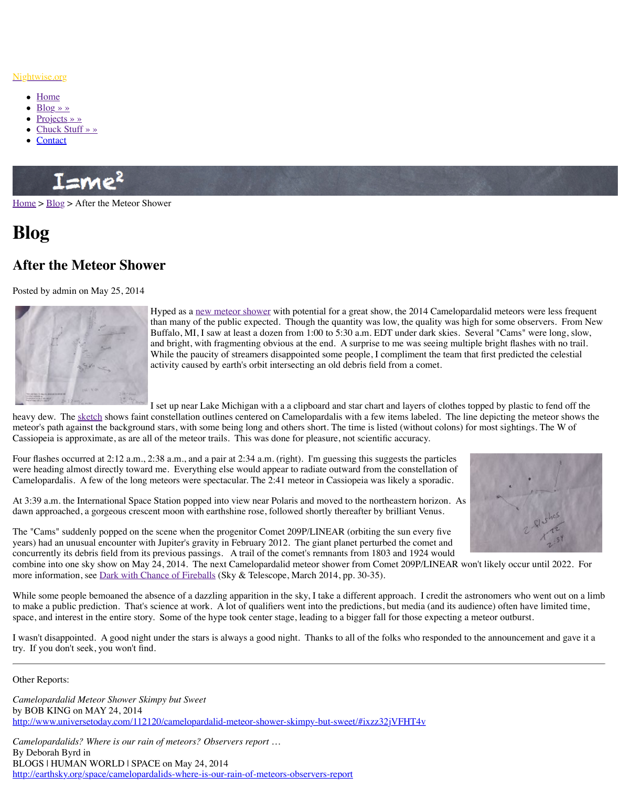

Hyped as a <u>new meteor shower</u> with potential for a great than many of the public expected. Though the quantity was high for some of the quality  $\ddot{\theta}$ Buffalo, MI, I saw at least a dozen from 1:00 to 5:30 a.m. and bright, with fragmenting obvious at the end. A surping While the paucity of streamers disappointed some people activity caused by earth's orbit intersecting an old debris

I set up near Lake Michigan with a a clipboard and star of

heavy [dew. Th](http://www.nightwise.org/blog/)e sketch shows faint constellation outlines centered on Camelopardalis with a mete[or's path agai](http://www.nightwise.org/projects/)nst the background stars, with some being long and others short. The time Cassi[opeia is approxim](http://www.nightwise.org/chuck-stuff/)ate, as are all of the meteor trails. This was done for pleasure, not sci

Four [flashes o](http://www.nightwise.org/contact/)ccurred at  $2:12$  a.m.,  $2:38$  a.m., and a pair at  $2:34$  a.m. (right). I'm guessing the were heading almost directly toward me. Everything else would appear to radiate outward from the constants of  $\mathbf{r}$ Camelopardalis. A few of the long meteors were spectacular. The 2:41 meteor in Cassiopeia

At 3:39 a.m. the International Space Station popped into view near Polaris and moved to the [dawn a](http://www.nightwise.org/)p[proac](http://www.nightwise.org/blog/)hed, a gorgeous crescent moon with earthshine rose, followed shortly thereafte

The "Cams" suddenly popped on the scene when the progenitor Comet 209P/LINEAR (orbit years) had an unusual encounter with Jupiter's gravity in February 2012. The giant planet per concurrently its debris field from its previous passings. A trail of the comet's remnants from combine into one sky show on May 24, 2014. The next Camelopardalid meteor shower from more information, see Dark with Chance of Fireballs (Sky & Telescope, March 2014, pp. 30-

While some people bemoaned the absence of a dazzling apparition in the sky, I take a different approach. I can to make a public prediction. That's science at work. A lot of qualifiers went into the predictions, but mediated times, and its audience) of the media (and its audience) of the media (and its audience) of the material time space, and interest in the entire story. Some of [the hype took center](http://www.nightwise.org/blog/campids/) stage, leading to a bigge

I wasn't disappointed. A good night under the stars is always a good night. Thanks to all of try. If you don't seek, you won't find.

Other Reports:

*Camelopardalid Meteor Shower Skimpy but Sweet* by BOB KING on MAY 24, 2014 http://www.univ[ersetod](http://www.nightwise.org/files/4514/0102/4949/Cams-observations.jpg)ay.com/112120/camelopardalid-meteor-shower-skimpy-but-sweet/#i

*Camelopardalids? Where is our rain of meteors? Observers report …* By Deborah Byrd in BLOGS | HUMAN WORLD | SPACE on May 24, 2014 http://earthsky.org/space/camelopardalids-where-is-our-rain-of-meteors-observers-report